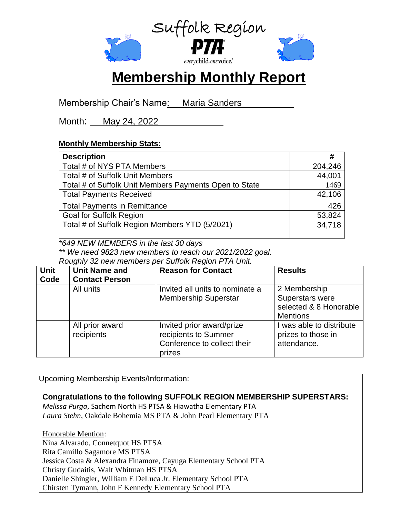

# **Membership Monthly Report**

Membership Chair's Name: Maria Sanders

Month: May 24, 2022

### **Monthly Membership Stats:**

| <b>Description</b>                                     | #       |
|--------------------------------------------------------|---------|
| Total # of NYS PTA Members                             | 204,246 |
| Total # of Suffolk Unit Members                        | 44,001  |
| Total # of Suffolk Unit Members Payments Open to State | 1469    |
| <b>Total Payments Received</b>                         | 42,106  |
| <b>Total Payments in Remittance</b>                    | 426     |
| <b>Goal for Suffolk Region</b>                         | 53,824  |
| Total # of Suffolk Region Members YTD (5/2021)         | 34,718  |

*\*649 NEW MEMBERS in the last 30 days*

*\*\* We need 9823 new members to reach our 2021/2022 goal.* 

*Roughly 32 new members per Suffolk Region PTA Unit.*

| <b>Unit</b><br>Code | <b>Unit Name and</b><br><b>Contact Person</b> | <b>Reason for Contact</b>                                                                  | <b>Results</b>                                                               |
|---------------------|-----------------------------------------------|--------------------------------------------------------------------------------------------|------------------------------------------------------------------------------|
|                     | All units                                     | Invited all units to nominate a<br><b>Membership Superstar</b>                             | 2 Membership<br>Superstars were<br>selected & 8 Honorable<br><b>Mentions</b> |
|                     | All prior award<br>recipients                 | Invited prior award/prize<br>recipients to Summer<br>Conference to collect their<br>prizes | was able to distribute<br>prizes to those in<br>attendance.                  |

Upcoming Membership Events/Information:

**Congratulations to the following SUFFOLK REGION MEMBERSHIP SUPERSTARS:**

*Melissa Purga*, Sachem North HS PTSA & Hiawatha Elementary PTA *Laura Stehn*, Oakdale Bohemia MS PTA & John Pearl Elementary PTA

Honorable Mention: Nina Alvarado, Connetquot HS PTSA Rita Camillo Sagamore MS PTSA Jessica Costa & Alexandra Finamore, Cayuga Elementary School PTA Christy Gudaitis, Walt Whitman HS PTSA Danielle Shingler, William E DeLuca Jr. Elementary School PTA Chirsten Tymann, John F Kennedy Elementary School PTA